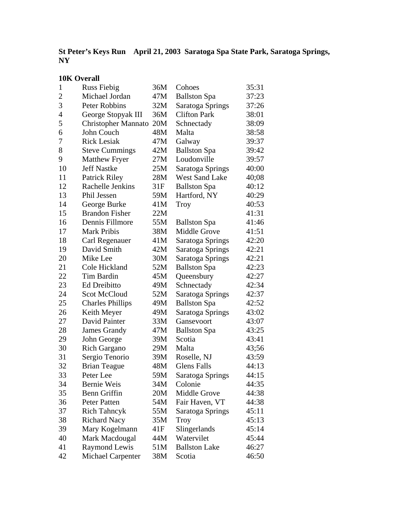## **St Peter's Keys Run April 21, 2003 Saratoga Spa State Park, Saratoga Springs, NY**

# **10K Overall**

| 1              | <b>Russ Fiebig</b>       | 36M | Cohoes                | 35:31 |
|----------------|--------------------------|-----|-----------------------|-------|
| $\overline{2}$ | Michael Jordan           | 47M | <b>Ballston Spa</b>   | 37:23 |
| 3              | Peter Robbins            | 32M | Saratoga Springs      | 37:26 |
| $\overline{4}$ | George Stopyak III       | 36M | <b>Clifton Park</b>   | 38:01 |
| 5              | Christopher Mannato      | 20M | Schnectady            | 38:09 |
| 6              | John Couch               | 48M | Malta                 | 38:58 |
| 7              | <b>Rick Lesiak</b>       | 47M | Galway                | 39:37 |
| 8              | <b>Steve Cummings</b>    | 42M | <b>Ballston Spa</b>   | 39:42 |
| 9              | <b>Matthew Fryer</b>     | 27M | Loudonville           | 39:57 |
| 10             | <b>Jeff Nastke</b>       | 25M | Saratoga Springs      | 40:00 |
| 11             | <b>Patrick Riley</b>     | 28M | <b>West Sand Lake</b> | 40;08 |
| 12             | Rachelle Jenkins         | 31F | <b>Ballston Spa</b>   | 40:12 |
| 13             | Phil Jessen              | 59M | Hartford, NY          | 40:29 |
| 14             | George Burke             | 41M | Troy                  | 40:53 |
| 15             | <b>Brandon Fisher</b>    | 22M |                       | 41:31 |
| 16             | Dennis Fillmore          | 55M | <b>Ballston Spa</b>   | 41:46 |
| 17             | Mark Pribis              | 38M | <b>Middle Grove</b>   | 41:51 |
| 18             | Carl Regenauer           | 41M | Saratoga Springs      | 42:20 |
| 19             | David Smith              | 42M | Saratoga Springs      | 42:21 |
| 20             | Mike Lee                 | 30M | Saratoga Springs      | 42:21 |
| 21             | Cole Hickland            | 52M | <b>Ballston Spa</b>   | 42:23 |
| 22             | Tim Bardin               | 45M | Queensbury            | 42:27 |
| 23             | Ed Dreibitto             | 49M | Schnectady            | 42:34 |
| 24             | <b>Scot McCloud</b>      | 52M | Saratoga Springs      | 42:37 |
| 25             | <b>Charles Phillips</b>  | 49M | <b>Ballston Spa</b>   | 42:52 |
| 26             | Keith Meyer              | 49M | Saratoga Springs      | 43:02 |
| 27             | David Painter            | 33M | Gansevoort            | 43:07 |
| 28             | <b>James Grandy</b>      | 47M | <b>Ballston Spa</b>   | 43:25 |
| 29             | John George              | 39M | Scotia                | 43:41 |
| 30             | <b>Rich Gargano</b>      | 29M | Malta                 | 43;56 |
| 31             | Sergio Tenorio           | 39M | Roselle, NJ           | 43:59 |
| 32             | <b>Brian Teague</b>      | 48M | <b>Glens Falls</b>    | 44:13 |
| 33             | Peter Lee                | 59M | Saratoga Springs      | 44:15 |
| 34             | <b>Bernie Weis</b>       | 34M | Colonie               | 44:35 |
| 35             | Benn Griffin             | 20M | Middle Grove          | 44:38 |
| 36             | <b>Peter Patten</b>      | 54M | Fair Haven, VT        | 44:38 |
| 37             | <b>Rich Tahncyk</b>      | 55M | Saratoga Springs      | 45:11 |
| 38             | <b>Richard Nacy</b>      | 35M | <b>Troy</b>           | 45:13 |
| 39             | Mary Kogelmann           | 41F | Slingerlands          | 45:14 |
| 40             | Mark Macdougal           | 44M | Watervilet            | 45:44 |
| 41             | Raymond Lewis            | 51M | <b>Ballston Lake</b>  | 46:27 |
| 42             | <b>Michael Carpenter</b> | 38M | Scotia                | 46:50 |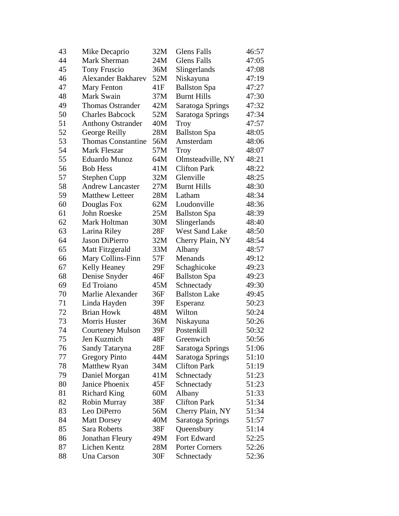| 43 | Mike Decaprio             | 32M | <b>Glens Falls</b>    | 46:57 |
|----|---------------------------|-----|-----------------------|-------|
| 44 | Mark Sherman              | 24M | <b>Glens Falls</b>    | 47:05 |
| 45 | <b>Tony Fruscio</b>       | 36M | Slingerlands          | 47:08 |
| 46 | <b>Alexander Bakharev</b> | 52M | Niskayuna             | 47:19 |
| 47 | Mary Fenton               | 41F | <b>Ballston Spa</b>   | 47:27 |
| 48 | Mark Swain                | 37M | <b>Burnt Hills</b>    | 47:30 |
| 49 | <b>Thomas Ostrander</b>   | 42M | Saratoga Springs      | 47:32 |
| 50 | <b>Charles Babcock</b>    | 52M | Saratoga Springs      | 47:34 |
| 51 | <b>Anthony Ostrander</b>  | 40M | Troy                  | 47:57 |
| 52 | George Reilly             | 28M | <b>Ballston Spa</b>   | 48:05 |
| 53 | <b>Thomas Constantine</b> | 56M | Amsterdam             | 48:06 |
| 54 | Mark Fleszar              | 57M | Troy                  | 48:07 |
| 55 | Eduardo Munoz             | 64M | Olmsteadville, NY     | 48:21 |
| 56 | <b>Bob Hess</b>           | 41M | <b>Clifton Park</b>   | 48:22 |
| 57 | <b>Stephen Cupp</b>       | 32M | Glenville             | 48:25 |
| 58 | <b>Andrew Lancaster</b>   | 27M | <b>Burnt Hills</b>    | 48:30 |
| 59 | <b>Matthew Letteer</b>    | 28M | Latham                | 48:34 |
| 60 | Douglas Fox               | 62M | Loudonville           | 48:36 |
| 61 | John Roeske               | 25M | <b>Ballston Spa</b>   | 48:39 |
| 62 | Mark Holtman              | 30M | Slingerlands          | 48:40 |
| 63 | Larina Riley              | 28F | <b>West Sand Lake</b> | 48:50 |
| 64 | Jason DiPierro            | 32M | Cherry Plain, NY      | 48:54 |
| 65 | Matt Fitzgerald           | 33M | Albany                | 48:57 |
| 66 | Mary Collins-Finn         | 57F | Menands               | 49:12 |
| 67 | Kelly Heaney              | 29F | Schaghicoke           | 49:23 |
| 68 | Denise Snyder             | 46F | <b>Ballston Spa</b>   | 49:23 |
| 69 | Ed Troiano                | 45M | Schnectady            | 49:30 |
| 70 | Marlie Alexander          | 36F | <b>Ballston Lake</b>  | 49:45 |
| 71 | Linda Hayden              | 39F | Esperanz              | 50:23 |
| 72 | <b>Brian Howk</b>         | 48M | Wilton                | 50:24 |
| 73 | Morris Huster             | 36M | Niskayuna             | 50:26 |
| 74 | <b>Courteney Mulson</b>   | 39F | Postenkill            | 50:32 |
| 75 | Jen Kuzmich               | 48F | Greenwich             | 50:56 |
| 76 | Sandy Tataryna            | 28F | Saratoga Springs      | 51:06 |
| 77 | <b>Gregory Pinto</b>      | 44M | Saratoga Springs      | 51:10 |
| 78 | Matthew Ryan              | 34M | <b>Clifton Park</b>   | 51:19 |
| 79 | Daniel Morgan             | 41M | Schnectady            | 51:23 |
| 80 | Janice Phoenix            | 45F | Schnectady            | 51:23 |
| 81 | <b>Richard King</b>       | 60M | Albany                | 51:33 |
| 82 | Robin Murray              | 38F | <b>Clifton Park</b>   | 51:34 |
| 83 | Leo DiPerro               | 56M | Cherry Plain, NY      | 51:34 |
| 84 | <b>Matt Dorsey</b>        | 40M | Saratoga Springs      | 51:57 |
| 85 | Sara Roberts              | 38F | Queensbury            | 51:14 |
| 86 | Jonathan Fleury           | 49M | Fort Edward           | 52:25 |
| 87 | Lichen Kentz              | 28M | <b>Porter Corners</b> | 52:26 |
| 88 | Una Carson                | 30F | Schnectady            | 52:36 |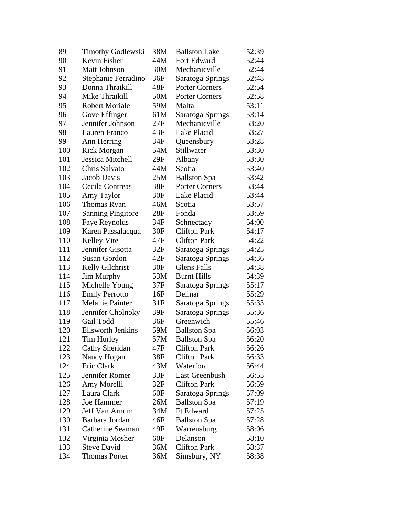| 89  | <b>Timothy Godlewski</b> | 38M | <b>Ballston Lake</b>  | 52:39 |
|-----|--------------------------|-----|-----------------------|-------|
| 90  | Kevin Fisher             | 44M | Fort Edward           | 52:44 |
| 91  | <b>Matt Johnson</b>      | 30M | Mechanicville         | 52:44 |
| 92  | Stephanie Ferradino      | 36F | Saratoga Springs      | 52:48 |
| 93  | Donna Thraikill          | 48F | <b>Porter Corners</b> | 52:54 |
| 94  | Mike Thraikill           | 50M | <b>Porter Corners</b> | 52:58 |
| 95  | <b>Robert Moriale</b>    | 59M | Malta                 | 53:11 |
| 96  | Gove Effinger            | 61M | Saratoga Springs      | 53:14 |
| 97  | Jennifer Johnson         | 27F | Mechanicville         | 53:20 |
| 98  | Lauren Franco            | 43F | Lake Placid           | 53:27 |
| 99  | Ann Herring              | 34F | Queensbury            | 53:28 |
| 100 | <b>Rick Morgan</b>       | 54M | Stillwater            | 53:30 |
| 101 | Jessica Mitchell         | 29F | Albany                | 53:30 |
| 102 | Chris Salvato            | 44M | Scotia                | 53:40 |
| 103 | Jacob Davis              | 25M | <b>Ballston Spa</b>   | 53:42 |
| 104 | Cecila Contreas          | 38F | <b>Porter Corners</b> | 53:44 |
| 105 | Amy Taylor               | 30F | Lake Placid           | 53:44 |
| 106 | Thomas Ryan              | 46M | Scotia                | 53:57 |
| 107 | <b>Sanning Pingitore</b> | 28F | Fonda                 | 53:59 |
| 108 | Faye Reynolds            | 34F | Schnectady            | 54:00 |
| 109 | Karen Passalacqua        | 30F | <b>Clifton Park</b>   | 54:17 |
| 110 | Kelley Vite              | 47F | <b>Clifton Park</b>   | 54:22 |
| 111 | Jennifer Gisotta         | 32F | Saratoga Springs      | 54:25 |
| 112 | Susan Gordon             | 42F | Saratoga Springs      | 54;36 |
| 113 | Kelly Gilchrist          | 30F | Glens Falls           | 54:38 |
| 114 | Jim Murphy               | 53M | <b>Burnt Hills</b>    | 54:39 |
| 115 | Michelle Young           | 37F | Saratoga Springs      | 55:17 |
| 116 | <b>Emily Perrotto</b>    | 16F | Delmar                | 55:29 |
| 117 | Melanie Painter          | 31F | Saratoga Springs      | 55:33 |
| 118 | Jennifer Cholnoky        | 39F | Saratoga Springs      | 55:36 |
| 119 | Gail Todd                | 36F | Greenwich             | 55:46 |
| 120 | <b>Ellsworth Jenkins</b> | 59M | <b>Ballston Spa</b>   | 56:03 |
| 121 | Tim Hurley               | 57M | <b>Ballston Spa</b>   | 56:20 |
| 122 | Cathy Sheridan           | 47F | <b>Clifton Park</b>   | 56:26 |
| 123 | Nancy Hogan              | 38F | <b>Clifton Park</b>   | 56:33 |
| 124 | Eric Clark               | 43M | Waterford             | 56:44 |
| 125 | Jennifer Romer           | 33F | <b>East Greenbush</b> | 56:55 |
| 126 | Amy Morelli              | 32F | <b>Clifton Park</b>   | 56:59 |
| 127 | Laura Clark              | 60F | Saratoga Springs      | 57:09 |
| 128 | Joe Hammer               | 26M | <b>Ballston Spa</b>   | 57:19 |
| 129 | Jeff Van Arnum           | 34M | <b>Ft Edward</b>      | 57:25 |
| 130 | Barbara Jordan           | 46F | <b>Ballston Spa</b>   | 57:28 |
| 131 | Catherine Seaman         | 49F | Warrensburg           | 58:06 |
| 132 | Virginia Mosher          | 60F | Delanson              | 58:10 |
| 133 | <b>Steve David</b>       | 36M | <b>Clifton Park</b>   | 58:37 |
| 134 | <b>Thomas Porter</b>     | 36M | Simsbury, NY          | 58:38 |
|     |                          |     |                       |       |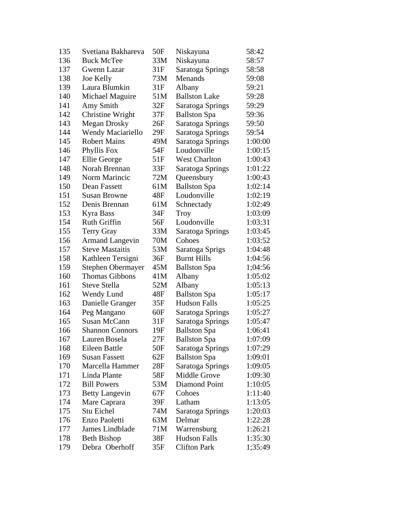| 135 | Svetiana Bakhareva     | 50F | Niskayuna            | 58:42   |
|-----|------------------------|-----|----------------------|---------|
| 136 | <b>Buck McTee</b>      | 33M | Niskayuna            | 58:57   |
| 137 | Gwenn Lazar            | 31F | Saratoga Springs     | 58:58   |
| 138 | Joe Kelly              | 73M | Menands              | 59:08   |
| 139 | Laura Blumkin          | 31F | Albany               | 59:21   |
| 140 | Michael Maguire        | 51M | <b>Ballston Lake</b> | 59:28   |
| 141 | Amy Smith              | 32F | Saratoga Springs     | 59:29   |
| 142 | Christine Wright       | 37F | <b>Ballston Spa</b>  | 59:36   |
| 143 | <b>Megan Drosky</b>    | 26F | Saratoga Springs     | 59:50   |
| 144 | Wendy Maciariello      | 29F | Saratoga Springs     | 59:54   |
| 145 | <b>Robert Mains</b>    | 49M | Saratoga Springs     | 1:00:00 |
| 146 | Phyllis Fox            | 54F | Loudonville          | 1:00:15 |
| 147 | Ellie George           | 51F | <b>West Charlton</b> | 1:00:43 |
| 148 | Norah Brennan          | 33F | Saratoga Springs     | 1:01:22 |
| 149 | Norm Marincic          | 72M | Queensbury           | 1:00:43 |
| 150 | Dean Fassett           | 61M | <b>Ballston Spa</b>  | 1:02:14 |
| 151 | <b>Susan Browne</b>    | 48F | Loudonville          | 1:02:19 |
| 152 | Denis Brennan          | 61M | Schnectady           | 1:02:49 |
| 153 | Kyra Bass              | 34F | Troy                 | 1:03:09 |
| 154 | <b>Ruth Griffin</b>    | 56F | Loudonville          | 1:03:31 |
| 155 | Terry Gray             | 33M | Saratoga Springs     | 1:03:45 |
| 156 | <b>Armand Langevin</b> | 70M | Cohoes               | 1:03:52 |
| 157 | <b>Steve Mastaitis</b> | 53M | Saratoga Sprigs      | 1:04:48 |
| 158 | Kathleen Tersigni      | 36F | <b>Burnt Hills</b>   | 1:04:56 |
| 159 | Stephen Obermayer      | 45M | <b>Ballston Spa</b>  | 1;04:56 |
| 160 | Thomas Gibbons         | 41M | Albany               | 1:05:02 |
| 161 | Steve Stella           | 52M | Albany               | 1:05:13 |
| 162 | Wendy Lund             | 48F | <b>Ballston Spa</b>  | 1:05:17 |
| 163 | Danielle Granger       | 35F | <b>Hudson Falls</b>  | 1:05:25 |
| 164 | Peg Mangano            | 60F | Saratoga Springs     | 1:05:27 |
| 165 | <b>Susan McCann</b>    | 31F | Saratoga Springs     | 1:05:47 |
| 166 | <b>Shannon Connors</b> | 19F | <b>Ballston Spa</b>  | 1:06:41 |
| 167 | Lauren Bosela          | 27F | <b>Ballston Spa</b>  | 1:07:09 |
| 168 | Eileen Battle          | 50F | Saratoga Springs     | 1:07:29 |
| 169 | Susan Fassett          | 62F | <b>Ballston Spa</b>  | 1:09:01 |
| 170 | Marcella Hammer        | 28F | Saratoga Springs     | 1:09:05 |
| 171 | Linda Plante           | 58F | Middle Grove         | 1:09:30 |
| 172 | <b>Bill Powers</b>     | 53M | Diamond Point        | 1:10:05 |
| 173 | <b>Betty Langevin</b>  | 67F | Cohoes               | 1:11:40 |
| 174 | Mare Caprara           | 39F | Latham               | 1:13:05 |
| 175 | Stu Eichel             | 74M | Saratoga Springs     | 1:20:03 |
| 176 | Enzo Paoletti          | 63M | Delmar               | 1:22:28 |
| 177 | James Lindblade        | 71M | Warrensburg          | 1:26:21 |
| 178 | <b>Beth Bishop</b>     | 38F | <b>Hudson Falls</b>  | 1:35:30 |
| 179 | Debra Oberhoff         | 35F | <b>Clifton Park</b>  | 1;35:49 |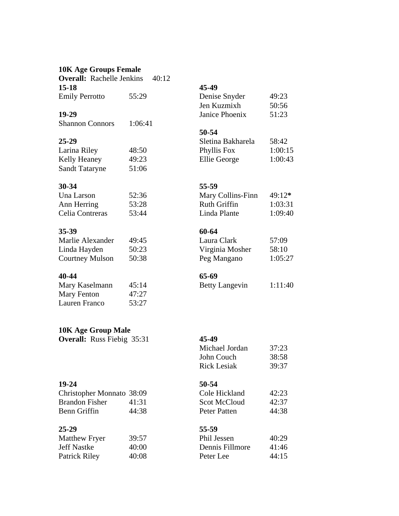### **10K Age Groups Female**

**Overall:** Rachelle Jenkins 40:12<br>15-18 **15-18 45-49** Emily Perrotto 55:29 Denise Snyder 49:23

Shannon Connors 1:06:41

Larina Riley 48:50 Kelly Heaney 49:23 Sandt Tataryne 51:06

| Una Larson      | 52:36 | Mary Collins-Finn | $49:12*$ |
|-----------------|-------|-------------------|----------|
| Ann Herring     | 53:28 | Ruth Griffin      | 1:03:31  |
| Celia Contreras | 53:44 | Linda Plante      | 1:09:40  |

### **35-39 60-64**

| Marlie Alexander | 49:45 | Laura Clark     | 57:09  |
|------------------|-------|-----------------|--------|
| Linda Hayden     | 50:23 | Virginia Mosher | 58:10  |
| Courtney Mulson  | 50:38 | Peg Mangano     | 1:05:2 |

### **40-44 65-69**

| Mary Kaselmann | 45:14 |
|----------------|-------|
| Mary Fenton    | 47:27 |
| Lauren Franco  | 53:27 |

### **10K Age Group Male**

**Overall:** Russ Fiebig 35:31 **45-49** 

**19-24** 50-54<br>Christopher Monnato 38:09 Cole Hickland Christopher Monnato 38:09 Cole Hickland 42:23 Brandon Fisher 41:31 Scot Benn Griffin 44:38 Peter Patten and Patten and Patten and Patten and Patten and Patten and Patten and Patten and Patten and Patten and Patten and Patten and Patten and Patten and Patten and Patten and Patten and Patten and

### **25-29 55-59**

| Matthew Fryer      | 39:57 | Phil Jessen     | 40:29 |
|--------------------|-------|-----------------|-------|
| <b>Jeff Nastke</b> | 40:00 | Dennis Fillmore | 41:46 |
| Patrick Riley      | 40:08 | Peter Lee       | 44:15 |

| Emily Perrotto | 55:29 | Denise Snyder  | 49:23 |
|----------------|-------|----------------|-------|
|                |       | Jen Kuzmixh    | 50:56 |
| 19-29          |       | Janice Phoenix | 51:23 |

### **50-54**

| 25-29        |       | Sletina Bakharela | 58:42   |
|--------------|-------|-------------------|---------|
| Larina Riley | 48:50 | Phyllis Fox       | 1:00:15 |
| Kelly Heaney | 49:23 | Ellie George      | 1:00:43 |

## **30-34 55-59**

| Una Larson      | 52:36 | Mary Collins-Finn | $49:12*$ |
|-----------------|-------|-------------------|----------|
| Ann Herring     | 53:28 | Ruth Griffin      | 1:03:31  |
| Celia Contreras | 53:44 | Linda Plante      | 1:09:40  |

| Marlie Alexander | 49:45 | Laura Clark     | 57:09   |
|------------------|-------|-----------------|---------|
| Linda Hayden     | 50:23 | Virginia Mosher | 58:10   |
| Courtney Mulson  | 50:38 | Peg Mangano     | 1:05:27 |

4 Betty Langevin 1:11:40

| Michael Jordan | 37:23 |
|----------------|-------|
| John Couch     | 38:58 |
| Rick Lesiak    | 39:37 |

| оје ніскіапа | 42:23 |
|--------------|-------|
| cot McCloud  | 42:37 |
| eter Patten  | 44:38 |

| Matthew Fryer | 39:57 | Phil Jessen     | 40:29 |
|---------------|-------|-----------------|-------|
| Jeff Nastke   | 40:00 | Dennis Fillmore | 41:46 |
| Patrick Riley | 40:08 | Peter Lee       | 44:15 |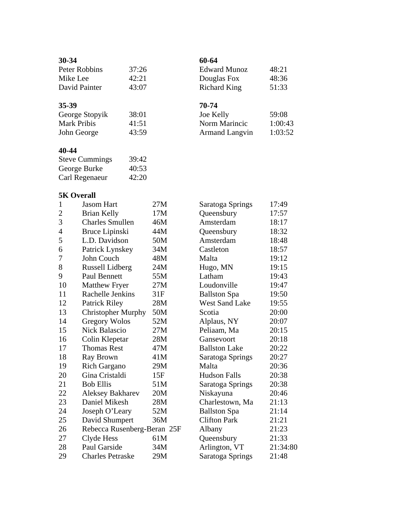| $30 - 34$     |       | 60-64  |
|---------------|-------|--------|
| Peter Robbins | 37:26 | Edwar  |
| Mike Lee      | 42:21 | Dougla |
| David Painter | 43:07 | Richar |

| George Stopyik     | 38:0  |
|--------------------|-------|
| <b>Mark Pribis</b> | 41:5  |
| John George        | 43:59 |

## **40-44**

| <b>Steve Cummings</b> | 39:42 |
|-----------------------|-------|
| George Burke          | 40:53 |
| Carl Regenaeur        | 42:20 |

# **5K Overall**

| $\mathbf{1}$   | <b>Jasom Hart</b>           | 27M | Saratoga Springs      | 17:49    |
|----------------|-----------------------------|-----|-----------------------|----------|
| $\overline{c}$ | <b>Brian Kelly</b>          | 17M | Queensbury            | 17:57    |
| $\overline{3}$ | <b>Charles Smullen</b>      | 46M | Amsterdam             | 18:17    |
| $\overline{4}$ | Bruce Lipinski              | 44M | Queensbury            | 18:32    |
| 5              | L.D. Davidson               | 50M | Amsterdam             | 18:48    |
| 6              | Patrick Lynskey             | 34M | Castleton             | 18:57    |
| 7              | John Couch                  | 48M | Malta                 | 19:12    |
| 8              | <b>Russell Lidberg</b>      | 24M | Hugo, MN              | 19:15    |
| 9              | <b>Paul Bennett</b>         | 55M | Latham                | 19:43    |
| 10             | <b>Matthew Fryer</b>        | 27M | Loudonville           | 19:47    |
| 11             | Rachelle Jenkins            | 31F | <b>Ballston Spa</b>   | 19:50    |
| 12             | <b>Patrick Riley</b>        | 28M | <b>West Sand Lake</b> | 19:55    |
| 13             | <b>Christopher Murphy</b>   | 50M | Scotia                | 20:00    |
| 14             | <b>Gregory Wolos</b>        | 52M | Alplaus, NY           | 20:07    |
| 15             | <b>Nick Balascio</b>        | 27M | Peliaam, Ma           | 20:15    |
| 16             | Colin Klepetar              | 28M | Gansevoort            | 20:18    |
| 17             | <b>Thomas Rest</b>          | 47M | <b>Ballston Lake</b>  | 20:22    |
| 18             | Ray Brown                   | 41M | Saratoga Springs      | 20:27    |
| 19             | <b>Rich Gargano</b>         | 29M | Malta                 | 20:36    |
| 20             | Gina Cristaldi              | 15F | <b>Hudson Falls</b>   | 20:38    |
| 21             | <b>Bob Ellis</b>            | 51M | Saratoga Springs      | 20:38    |
| 22             | <b>Aleksey Bakharev</b>     | 20M | Niskayuna             | 20:46    |
| 23             | Daniel Mikesh               | 28M | Charlestown, Ma       | 21:13    |
| 24             | Joseph O'Leary              | 52M | <b>Ballston Spa</b>   | 21:14    |
| 25             | David Shumpert              | 36M | <b>Clifton Park</b>   | 21:21    |
| 26             | Rebecca Rusenberg-Beran 25F |     | Albany                | 21:23    |
| 27             | Clyde Hess                  | 61M | Queensbury            | 21:33    |
| 28             | Paul Garside                | 34M | Arlington, VT         | 21:34:80 |
| 29             | <b>Charles Petraske</b>     | 29M | Saratoga Springs      | 21:48    |
|                |                             |     |                       |          |

| Peter Robbins | 37:26 | Edward Munoz | 48:21 |
|---------------|-------|--------------|-------|
| Mike Lee      | 42:21 | Douglas Fox  | 48:36 |
| David Painter | 43:07 | Richard King | 51:33 |

# **35-39 70-74**

| George Stopyik | 38:01 | Joe Kelly             | 59:08   |
|----------------|-------|-----------------------|---------|
| Mark Pribis    | 41:51 | Norm Marincic         | 1:00:43 |
| John George    | 43:59 | <b>Armand Langvin</b> | 1:03:52 |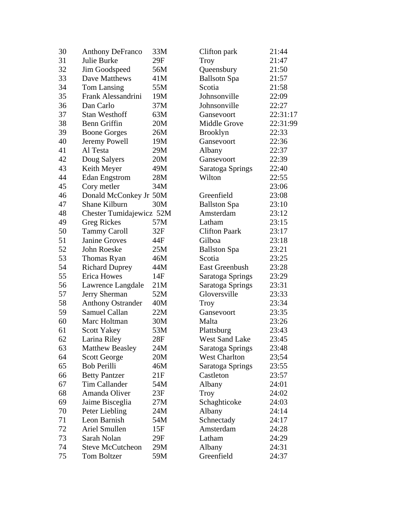| 30 | <b>Anthony DeFranco</b>  | 33M | Clifton park          | 21:44    |
|----|--------------------------|-----|-----------------------|----------|
| 31 | Julie Burke              | 29F | Troy                  | 21:47    |
| 32 | Jim Goodspeed            | 56M | Queensbury            | 21:50    |
| 33 | Dave Matthews            | 41M | <b>Ballsotn Spa</b>   | 21:57    |
| 34 | Tom Lansing              | 55M | Scotia                | 21:58    |
| 35 | Frank Alessandrini       | 19M | Johnsonville          | 22:09    |
| 36 | Dan Carlo                | 37M | Johnsonville          | 22:27    |
| 37 | <b>Stan Westhoff</b>     | 63M | Gansevoort            | 22:31:17 |
| 38 | <b>Benn Griffin</b>      | 20M | Middle Grove          | 22:31:99 |
| 39 | <b>Boone Gorges</b>      | 26M | <b>Brooklyn</b>       | 22:33    |
| 40 | Jeremy Powell            | 19M | Gansevoort            | 22:36    |
| 41 | Al Testa                 | 29M | Albany                | 22:37    |
| 42 | Doug Salyers             | 20M | Gansevoort            | 22:39    |
| 43 | Keith Meyer              | 49M | Saratoga Springs      | 22:40    |
| 44 | <b>Edan Engstrom</b>     | 28M | Wilton                | 22:55    |
| 45 | Cory metler              | 34M |                       | 23:06    |
| 46 | Donald McConkey Jr 50M   |     | Greenfield            | 23:08    |
| 47 | Shane Kilburn            | 30M | <b>Ballston Spa</b>   | 23:10    |
| 48 | Chester Tumidajewicz 52M |     | Amsterdam             | 23:12    |
| 49 | <b>Greg Rickes</b>       | 57M | Latham                | 23:15    |
| 50 | <b>Tammy Caroll</b>      | 32F | <b>Clifton Paark</b>  | 23:17    |
| 51 | <b>Janine Groves</b>     | 44F | Gilboa                | 23:18    |
| 52 | John Roeske              | 25M | <b>Ballston Spa</b>   | 23:21    |
| 53 | Thomas Ryan              | 46M | Scotia                | 23:25    |
| 54 | <b>Richard Duprey</b>    | 44M | <b>East Greenbush</b> | 23:28    |
| 55 | <b>Erica Howes</b>       | 14F | Saratoga Springs      | 23:29    |
| 56 | Lawrence Langdale        | 21M | Saratoga Springs      | 23:31    |
| 57 | Jerry Sherman            | 52M | Gloversville          | 23:33    |
| 58 | <b>Anthony Ostrander</b> | 40M | <b>Troy</b>           | 23:34    |
| 59 | Samuel Callan            | 22M | Gansevoort            | 23:35    |
| 60 | Marc Holtman             | 30M | Malta                 | 23:26    |
| 61 | <b>Scott Yakey</b>       | 53M | Plattsburg            | 23:43    |
| 62 | Larina Riley             | 28F | West Sand Lake        | 23:45    |
| 63 | <b>Matthew Beasley</b>   | 24M | Saratoga Springs      | 23:48    |
| 64 | <b>Scott George</b>      | 20M | <b>West Charlton</b>  | 23;54    |
| 65 | <b>Bob Perilli</b>       | 46M | Saratoga Springs      | 23:55    |
| 66 | <b>Betty Pantzer</b>     | 21F | Castleton             | 23:57    |
| 67 | Tim Callander            | 54M | Albany                | 24:01    |
| 68 | Amanda Oliver            | 23F | Troy                  | 24:02    |
| 69 | Jaime Bisceglia          | 27M | Schaghticoke          | 24:03    |
| 70 | Peter Liebling           | 24M | Albany                | 24:14    |
| 71 | Leon Barnish             | 54M | Schnectady            | 24:17    |
| 72 | Ariel Smullen            | 15F | Amsterdam             | 24:28    |
| 73 | Sarah Nolan              | 29F | Latham                | 24:29    |
| 74 | <b>Steve McCutcheon</b>  | 29M | Albany                | 24:31    |
| 75 | Tom Boltzer              | 59M | Greenfield            | 24:37    |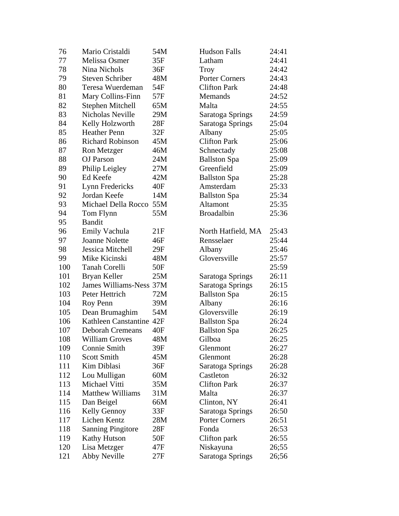| 76  | Mario Cristaldi          | 54M | <b>Hudson Falls</b>   | 24:41 |
|-----|--------------------------|-----|-----------------------|-------|
| 77  | Melissa Osmer            | 35F | Latham                | 24:41 |
| 78  | Nina Nichols             | 36F | <b>Troy</b>           | 24:42 |
| 79  | <b>Steven Schriber</b>   | 48M | <b>Porter Corners</b> | 24:43 |
| 80  | Teresa Wuerdeman         | 54F | <b>Clifton Park</b>   | 24:48 |
| 81  | Mary Collins-Finn        | 57F | <b>Memands</b>        | 24:52 |
| 82  | Stephen Mitchell         | 65M | Malta                 | 24:55 |
| 83  | Nicholas Neville         | 29M | Saratoga Springs      | 24:59 |
| 84  | Kelly Holzworth          | 28F | Saratoga Springs      | 25:04 |
| 85  | <b>Heather Penn</b>      | 32F | Albany                | 25:05 |
| 86  | <b>Richard Robinson</b>  | 45M | <b>Clifton Park</b>   | 25:06 |
| 87  | Ron Metzger              | 46M | Schnectady            | 25:08 |
| 88  | <b>OJ</b> Parson         | 24M | <b>Ballston Spa</b>   | 25:09 |
| 89  | Philip Leigley           | 27M | Greenfield            | 25:09 |
| 90  | Ed Keefe                 | 42M | <b>Ballston Spa</b>   | 25:28 |
| 91  | Lynn Fredericks          | 40F | Amsterdam             | 25:33 |
| 92  | Jordan Keefe             | 14M | <b>Ballston Spa</b>   | 25:34 |
| 93  | Michael Della Rocco      | 55M | Altamont              | 25:35 |
| 94  | Tom Flynn                | 55M | <b>Broadalbin</b>     | 25:36 |
| 95  | <b>Bandit</b>            |     |                       |       |
| 96  | Emily Vachula            | 21F | North Hatfield, MA    | 25:43 |
| 97  | <b>Joanne Nolette</b>    | 46F | Rensselaer            | 25:44 |
| 98  | Jessica Mitchell         | 29F | Albany                | 25:46 |
| 99  | Mike Kicinski            | 48M | Gloversville          | 25:57 |
| 100 | <b>Tanah Corelli</b>     | 50F |                       | 25:59 |
| 101 | Bryan Keller             | 25M | Saratoga Springs      | 26:11 |
| 102 | James Williams-Ness 37M  |     | Saratoga Springs      | 26:15 |
| 103 | Peter Hettrich           | 72M | <b>Ballston Spa</b>   | 26:15 |
| 104 | Roy Penn                 | 39M | Albany                | 26:16 |
| 105 | Dean Brumaghim           | 54M | Gloversville          | 26:19 |
| 106 | Kathleen Canstantine 42F |     | <b>Ballston Spa</b>   | 26:24 |
| 107 | <b>Deborah Cremeans</b>  | 40F | <b>Ballston Spa</b>   | 26:25 |
| 108 | <b>William Groves</b>    | 48M | Gilboa                | 26:25 |
| 109 | Connie Smith             | 39F | Glenmont              | 26:27 |
| 110 | <b>Scott Smith</b>       | 45M | Glenmont              | 26:28 |
| 111 | Kim Diblasi              | 36F | Saratoga Springs      | 26:28 |
| 112 | Lou Mulligan             | 60M | Castleton             | 26:32 |
| 113 | Michael Vitti            | 35M | <b>Clifton Park</b>   | 26:37 |
| 114 | <b>Matthew Williams</b>  | 31M | Malta                 | 26:37 |
| 115 | Dan Beigel               | 66M | Clinton, NY           | 26:41 |
| 116 | Kelly Gennoy             | 33F | Saratoga Springs      | 26:50 |
| 117 | Lichen Kentz             | 28M | <b>Porter Corners</b> | 26:51 |
| 118 | <b>Sanning Pingitore</b> | 28F | Fonda                 | 26:53 |
| 119 | <b>Kathy Hutson</b>      | 50F | Clifton park          | 26:55 |
| 120 | Lisa Metzger             | 47F | Niskayuna             | 26;55 |
| 121 | Abby Neville             | 27F | Saratoga Springs      | 26;56 |
|     |                          |     |                       |       |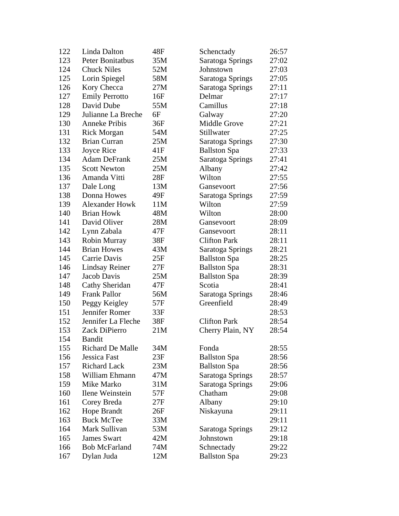| 122 | Linda Dalton            | 48F | Schenctady          | 26:57 |
|-----|-------------------------|-----|---------------------|-------|
| 123 | Peter Bonitatbus        | 35M | Saratoga Springs    | 27:02 |
| 124 | <b>Chuck Niles</b>      | 52M | Johnstown           | 27:03 |
| 125 | Lorin Spiegel           | 58M | Saratoga Springs    | 27:05 |
| 126 | Kory Checca             | 27M | Saratoga Springs    | 27:11 |
| 127 | <b>Emily Perrotto</b>   | 16F | Delmar              | 27:17 |
| 128 | David Dube              | 55M | Camillus            | 27:18 |
| 129 | Julianne La Breche      | 6F  | Galway              | 27:20 |
| 130 | <b>Anneke Pribis</b>    | 36F | <b>Middle Grove</b> | 27:21 |
| 131 | <b>Rick Morgan</b>      | 54M | Stillwater          | 27:25 |
| 132 | <b>Brian Curran</b>     | 25M | Saratoga Springs    | 27:30 |
| 133 | Joyce Rice              | 41F | <b>Ballston Spa</b> | 27:33 |
| 134 | <b>Adam DeFrank</b>     | 25M | Saratoga Springs    | 27:41 |
| 135 | <b>Scott Newton</b>     | 25M | Albany              | 27:42 |
| 136 | Amanda Vitti            | 28F | Wilton              | 27:55 |
| 137 | Dale Long               | 13M | Gansevoort          | 27:56 |
| 138 | Donna Howes             | 49F | Saratoga Springs    | 27:59 |
| 139 | <b>Alexander Howk</b>   | 11M | Wilton              | 27:59 |
| 140 | <b>Brian Howk</b>       | 48M | Wilton              | 28:00 |
| 141 | David Oliver            | 28M | Gansevoort          | 28:09 |
| 142 | Lynn Zabala             | 47F | Gansevoort          | 28:11 |
| 143 | Robin Murray            | 38F | <b>Clifton Park</b> | 28:11 |
| 144 | <b>Brian Howes</b>      | 43M | Saratoga Springs    | 28:21 |
| 145 | Carrie Davis            | 25F | <b>Ballston Spa</b> | 28:25 |
| 146 | Lindsay Reiner          | 27F | <b>Ballston Spa</b> | 28:31 |
| 147 | Jacob Davis             | 25M | <b>Ballston Spa</b> | 28:39 |
| 148 | Cathy Sheridan          | 47F | Scotia              | 28:41 |
| 149 | <b>Frank Pallor</b>     | 56M | Saratoga Springs    | 28:46 |
| 150 | Peggy Keigley           | 57F | Greenfield          | 28:49 |
| 151 | Jennifer Romer          | 33F |                     | 28:53 |
| 152 | Jennifer La Fleche      | 38F | <b>Clifton Park</b> | 28:54 |
| 153 | Zack DiPierro           | 21M | Cherry Plain, NY    | 28:54 |
| 154 | <b>Bandit</b>           |     |                     |       |
| 155 | <b>Richard De Malle</b> | 34M | Fonda               | 28:55 |
| 156 | Jessica Fast            | 23F | <b>Ballston Spa</b> | 28:56 |
| 157 | <b>Richard Lack</b>     | 23M | <b>Ballston Spa</b> | 28:56 |
| 158 | William Ehmann          | 47M | Saratoga Springs    | 28:57 |
| 159 | Mike Marko              | 31M | Saratoga Springs    | 29:06 |
| 160 | Ilene Weinstein         | 57F | Chatham             | 29:08 |
| 161 | Corey Breda             | 27F | Albany              | 29:10 |
| 162 | <b>Hope Brandt</b>      | 26F | Niskayuna           | 29:11 |
| 163 | <b>Buck McTee</b>       | 33M |                     | 29:11 |
| 164 | Mark Sullivan           | 53M | Saratoga Springs    | 29:12 |
| 165 | <b>James Swart</b>      | 42M | Johnstown           | 29:18 |
| 166 | <b>Bob McFarland</b>    | 74M | Schnectady          | 29:22 |
| 167 | Dylan Juda              | 12M | <b>Ballston Spa</b> | 29:23 |
|     |                         |     |                     |       |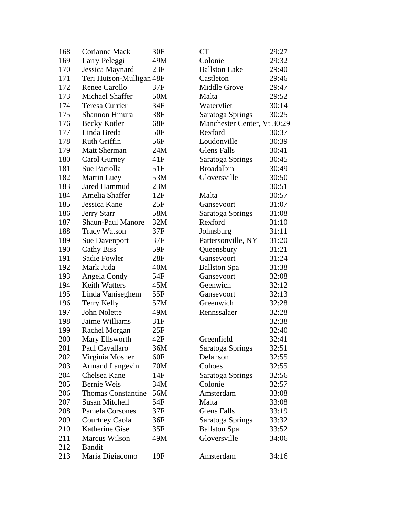| 168 | Corianne Mack             | 30F | <b>CT</b>                   | 29:27 |
|-----|---------------------------|-----|-----------------------------|-------|
| 169 | Larry Peleggi             | 49M | Colonie                     | 29:32 |
| 170 | Jessica Maynard           | 23F | <b>Ballston Lake</b>        | 29:40 |
| 171 | Teri Hutson-Mulligan 48F  |     | Castleton                   | 29:46 |
| 172 | <b>Renee Carollo</b>      | 37F | <b>Middle Grove</b>         | 29:47 |
| 173 | Michael Shaffer           | 50M | Malta                       | 29:52 |
| 174 | Teresa Currier            | 34F | Watervliet                  | 30:14 |
| 175 | Shannon Hmura             | 38F | Saratoga Springs            | 30:25 |
| 176 | <b>Becky Kotler</b>       | 68F | Manchester Center, Vt 30:29 |       |
| 177 | Linda Breda               | 50F | Rexford                     | 30:37 |
| 178 | <b>Ruth Griffin</b>       | 56F | Loudonville                 | 30:39 |
| 179 | <b>Matt Sherman</b>       | 24M | <b>Glens Falls</b>          | 30:41 |
| 180 | Carol Gurney              | 41F | Saratoga Springs            | 30:45 |
| 181 | Sue Paciolla              | 51F | <b>Broadalbin</b>           | 30:49 |
| 182 | <b>Martin Luey</b>        | 53M | Gloversville                | 30:50 |
| 183 | <b>Jared Hammud</b>       | 23M |                             | 30:51 |
| 184 | Amelia Shaffer            | 12F | Malta                       | 30:57 |
| 185 | Jessica Kane              | 25F | Gansevoort                  | 31:07 |
| 186 | <b>Jerry Starr</b>        | 58M | Saratoga Springs            | 31:08 |
| 187 | <b>Shaun-Paul Manore</b>  | 32M | Rexford                     | 31:10 |
| 188 | <b>Tracy Watson</b>       | 37F | Johnsburg                   | 31:11 |
| 189 | <b>Sue Davenport</b>      | 37F | Pattersonville, NY          | 31:20 |
| 190 | <b>Cathy Biss</b>         | 59F | Queensbury                  | 31:21 |
| 191 | Sadie Fowler              | 28F | Gansevoort                  | 31:24 |
| 192 | Mark Juda                 | 40M | <b>Ballston Spa</b>         | 31:38 |
| 193 | Angela Condy              | 54F | Gansevoort                  | 32:08 |
| 194 | <b>Keith Watters</b>      | 45M | Geenwich                    | 32:12 |
| 195 | Linda Vaniseghem          | 55F | Gansevoort                  | 32:13 |
| 196 | Terry Kelly               | 57M | Greenwich                   | 32:28 |
| 197 | John Nolette              | 49M | Rennssalaer                 | 32:28 |
| 198 | Jaime Williams            | 31F |                             | 32:38 |
| 199 | Rachel Morgan             | 25F |                             | 32:40 |
| 200 | Mary Ellsworth            | 42F | Greenfield                  | 32:41 |
| 201 | Paul Cavallaro            | 36M | Saratoga Springs            | 32:51 |
| 202 | Virginia Mosher           | 60F | Delanson                    | 32:55 |
| 203 | <b>Armand Langevin</b>    | 70M | Cohoes                      | 32:55 |
| 204 | Chelsea Kane              | 14F | Saratoga Springs            | 32:56 |
| 205 | <b>Bernie Weis</b>        | 34M | Colonie                     | 32:57 |
| 206 | <b>Thomas Constantine</b> | 56M | Amsterdam                   | 33:08 |
| 207 | <b>Susan Mitchell</b>     | 54F | Malta                       | 33:08 |
| 208 | Pamela Corsones           | 37F | <b>Glens Falls</b>          | 33:19 |
| 209 | <b>Courtney Caola</b>     | 36F | Saratoga Springs            | 33:32 |
| 210 | Katherine Gise            | 35F | <b>Ballston Spa</b>         | 33:52 |
| 211 | Marcus Wilson             | 49M | Gloversville                | 34:06 |
| 212 | <b>Bandit</b>             |     |                             |       |
| 213 | Maria Digiacomo           | 19F | Amsterdam                   | 34:16 |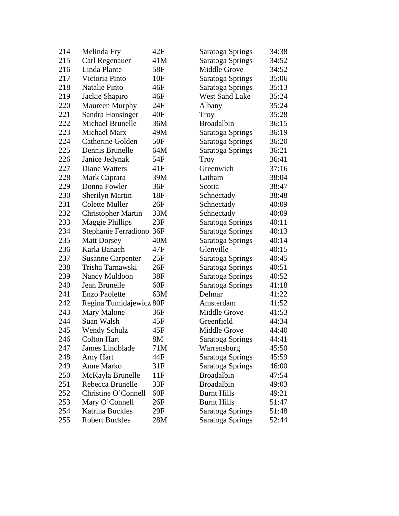| 214 | Melinda Fry               | 42F | Saratoga Springs      | 34:38 |
|-----|---------------------------|-----|-----------------------|-------|
| 215 | Carl Regenauer            | 41M | Saratoga Springs      | 34:52 |
| 216 | Linda Plante              | 58F | <b>Middle Grove</b>   | 34:52 |
| 217 | Victoria Pinto            | 10F | Saratoga Springs      | 35:06 |
| 218 | <b>Natalie Pinto</b>      | 46F | Saratoga Springs      | 35:13 |
| 219 | Jackie Shapiro            | 46F | <b>West Sand Lake</b> | 35:24 |
| 220 | Maureen Murphy            | 24F | Albany                | 35:24 |
| 221 | Sandra Honsinger          | 40F | <b>Troy</b>           | 35:28 |
| 222 | Michael Brunelle          | 36M | <b>Broadalbin</b>     | 36:15 |
| 223 | Michael Marx              | 49M | Saratoga Springs      | 36:19 |
| 224 | Catherine Golden          | 50F | Saratoga Springs      | 36:20 |
| 225 | Dennis Brunelle           | 64M | Saratoga Springs      | 36:21 |
| 226 | Janice Jedynak            | 54F | Troy                  | 36:41 |
| 227 | Diane Watters             | 41F | Greenwich             | 37:16 |
| 228 | Mark Caprara              | 39M | Latham                | 38:04 |
| 229 | Donna Fowler              | 36F | Scotia                | 38:47 |
| 230 | <b>Sherilyn Martin</b>    | 18F | Schnectady            | 38:48 |
| 231 | <b>Colette Muller</b>     | 26F | Schnectady            | 40:09 |
| 232 | <b>Christopher Martin</b> | 33M | Schnectady            | 40:09 |
| 233 | Maggie Phillips           | 23F | Saratoga Springs      | 40:11 |
| 234 | Stephanie Ferradiono      | 36F | Saratoga Springs      | 40:13 |
| 235 | <b>Matt Dorsey</b>        | 40M | Saratoga Springs      | 40:14 |
| 236 | Karla Banach              | 47F | Glenville             | 40:15 |
| 237 | <b>Susanne Carpenter</b>  | 25F | Saratoga Springs      | 40:45 |
| 238 | Trisha Tarnawski          | 26F | Saratoga Springs      | 40:51 |
| 239 | Nancy Muldoon             | 38F | Saratoga Springs      | 40:52 |
| 240 | Jean Brunelle             | 60F | Saratoga Springs      | 41:18 |
| 241 | <b>Enzo Paolette</b>      | 63M | Delmar                | 41:22 |
| 242 | Regina Tumidajewicz 80F   |     | Amsterdam             | 41:52 |
| 243 | <b>Mary Malone</b>        | 36F | <b>Middle Grove</b>   | 41:53 |
| 244 | Suan Walsh                | 45F | Greenfield            | 44:34 |
| 245 | <b>Wendy Schulz</b>       | 45F | Middle Grove          | 44:40 |
| 246 | <b>Colton Hart</b>        | 8M  | Saratoga Springs      | 44:41 |
| 247 | James Lindblade           | 71M | Warrensburg           | 45:50 |
| 248 | Amy Hart                  | 44F | Saratoga Springs      | 45:59 |
| 249 | Anne Marko                | 31F | Saratoga Springs      | 46:00 |
| 250 | McKayla Brunelle          | 11F | <b>Broadalbin</b>     | 47:54 |
| 251 | Rebecca Brunelle          | 33F | <b>Broadalbin</b>     | 49:03 |
| 252 | Christine O'Connell       | 60F | <b>Burnt Hills</b>    | 49:21 |
| 253 | Mary O'Connell            | 26F | <b>Burnt Hills</b>    | 51:47 |
| 254 | <b>Katrina Buckles</b>    | 29F | Saratoga Springs      | 51:48 |
| 255 | <b>Robert Buckles</b>     | 28M | Saratoga Springs      | 52:44 |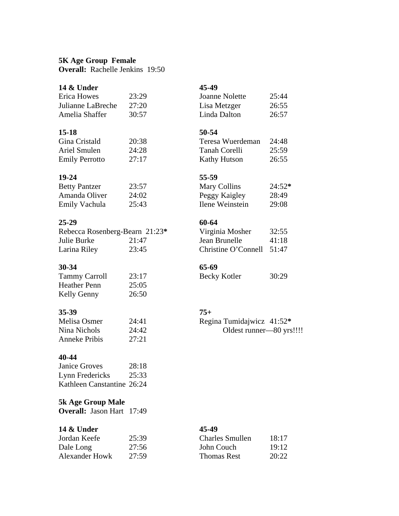### **5K Age Group Female**

**Overall:** Rachelle Jenkins 19:50

## **14 & Under 45-49**

## Erica Howes 23:29 J Julianne LaBreche 27:20 L Amelia Shaffer 30:57 L

### **15-18 50-54**

| Gina Cristald         | 20:38 | Teresa Wuerdeman | 24:48 |
|-----------------------|-------|------------------|-------|
| Ariel Smulen          | 24:28 | Tanah Corelli    | 25:59 |
| <b>Emily Perrotto</b> | 27:17 | Kathy Hutson     | 26:55 |

| <b>Betty Pantzer</b> | 23:57 |
|----------------------|-------|
| Amanda Oliver        | 24:02 |
| Emily Vachula        | 25:43 |

### **25-29 60-64**

| Rebecca Rosenberg-Bearn 21:23* |       | Virginia Mosher           | 32:55 |
|--------------------------------|-------|---------------------------|-------|
| Julie Burke                    | 21:47 | Jean Brunelle             | 41:18 |
| Larina Riley                   | 23:45 | Christine O'Connell 51:47 |       |

### **30-34 65-69**

| <b>Tammy Carroll</b> | 23:17 |
|----------------------|-------|
| <b>Heather Penn</b>  | 25:05 |
| Kelly Genny          | 26:50 |

### **35-39 75+**

| Melisa Osmer         | 24:41 |
|----------------------|-------|
| Nina Nichols         | 24:42 |
| <b>Anneke Pribis</b> | 27:21 |

### **40-44**

Janice Groves 28:18 Lynn Fredericks 25:33 Kathleen Canstantine 26:24

## **5k Age Group Male**

**Overall:** Jason Hart 17:49

### **14 & Under 45-49**

| Jordan Keefe          | 25:39 |
|-----------------------|-------|
| Dale Long             | 27:56 |
| <b>Alexander Howk</b> | 27:59 |

| Joanne Nolette | 25:44 |
|----------------|-------|
| Lisa Metzger   | 26:55 |
| Linda Dalton   | 26:57 |

| Gina Cristald         | 20:38 | Teresa Wuerdeman    | 24:48 |
|-----------------------|-------|---------------------|-------|
| Ariel Smulen          | 24:28 | Tanah Corelli       | 25:59 |
| <b>Emily Perrotto</b> | 27:17 | <b>Kathy Hutson</b> | 26:55 |

## **19-24 55-59**

| <b>Betty Pantzer</b> | 23:57 | Mary Collins    | $24:52*$ |
|----------------------|-------|-----------------|----------|
| Amanda Oliver        | 24:02 | Peggy Kaigley   | 28:49    |
| Emily Vachula        | 25:43 | Ilene Weinstein | 29:08    |

| Virginia Mosher           | 32:55 |
|---------------------------|-------|
| Jean Brunelle             | 41:18 |
| Christine O'Connell 51:47 |       |

Becky Kotler 30:29

Regina Tumidajwicz 41:52\* Oldest runner—80 yrs!!!!

| Jordan Keefe   | 25:39 | <b>Charles Smullen</b> | 18:17 |
|----------------|-------|------------------------|-------|
| Dale Long      | 27:56 | John Couch             | 19:12 |
| Alexander Howk | 27:59 | Thomas Rest            | 20:22 |